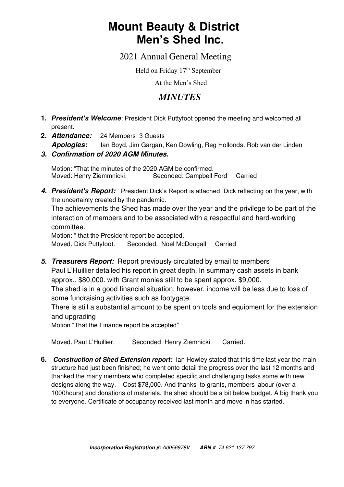# **Mount Beauty & District Men's Shed Inc.**

2021 Annual General Meeting

Held on Friday 17<sup>th</sup> September

At the Men's Shed

## *MINUTES*

- **1.** *President's Welcome*: President Dick Puttyfoot opened the meeting and welcomed all present.
- **2.** *Attendance:* 24 Members 3 Guests *Apologies:* Ian Boyd, Jim Gargan, Ken Dowling, Reg Hollonds. Rob van der Linden
- *3. Confirmation of 2020 AGM Minutes.*

Motion: "That the minutes of the 2020 AGM be confirmed.<br>Moved: Henry Ziemmnicki. Seconded: Campbell Ford Moved: Henry Ziemmnicki. Seconded: Campbell Ford Carried

4. President's Report: President Dick's Report is attached. Dick reflecting on the year, with the uncertainty created by the pandemic.

The achievements the Shed has made over the year and the privilege to be part of the interaction of members and to be associated with a respectful and hard-working committee.

Motion: " that the President report be accepted. Moved. Dick Puttyfoot. Seconded. Noel McDougall Carried

*5. Treasurers Report:* Report previously circulated by email to members Paul L'Huillier detailed his report in great depth. In summary cash assets in bank approx.. \$80,000. with Grant monies still to be spent approx. \$9,000. The shed is in a good financial situation. however, income will be less due to loss of some fundraising activities such as footygate.

There is still a substantial amount to be spent on tools and equipment for the extension and upgrading

Motion "That the Finance report be accepted"

Moved. Paul L'Huillier. Seconded Henry Ziemnicki Carried.

**6.** *Construction of Shed Extension report:* Ian Howley stated that this time last year the main structure had just been finished; he went onto detail the progress over the last 12 months and thanked the many members who completed specific and challenging tasks some with new designs along the way. Cost \$78,000. And thanks to grants, members labour (over a 1000hours) and donations of materials, the shed should be a bit below budget. A big thank you to everyone. Certificate of occupancy received last month and move in has started.